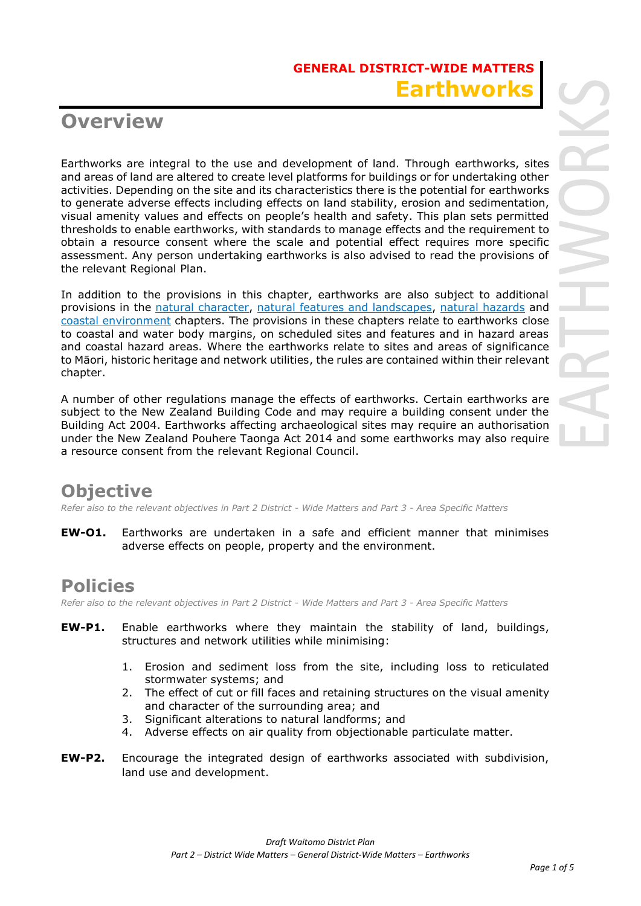# **Overview**

Earthworks are integral to the use and development of land. Through earthworks, sites and areas of land are altered to create level platforms for buildings or for undertaking other activities. Depending on the site and its characteristics there is the potential for earthworks to generate adverse effects including effects on land stability, erosion and sedimentation, visual amenity values and effects on people's health and safety. This plan sets permitted thresholds to enable earthworks, with standards to manage effects and the requirement to obtain a resource consent where the scale and potential effect requires more specific assessment. Any person undertaking earthworks is also advised to read the provisions of the relevant Regional Plan.

In addition to the provisions in this chapter, earthworks are also subject to additional provisions in the natural character, natural features and landscapes, natural hazards and coastal environment chapters. The provisions in these chapters relate to earthworks close to coastal and water body margins, on scheduled sites and features and in hazard areas and coastal hazard areas. Where the earthworks relate to sites and areas of significance to Māori, historic heritage and network utilities, the rules are contained within their relevant chapter.

A number of other regulations manage the effects of earthworks. Certain earthworks are subject to the New Zealand Building Code and may require a building consent under the Building Act 2004. Earthworks affecting archaeological sites may require an authorisation under the New Zealand Pouhere Taonga Act 2014 and some earthworks may also require a resource consent from the relevant Regional Council.

# **Objective**

*Refer also to the relevant objectives in Part 2 District - Wide Matters and Part 3 - Area Specific Matters* 

**EW-O1.** Earthworks are undertaken in a safe and efficient manner that minimises adverse effects on people, property and the environment.

## **Policies**

*Refer also to the relevant objectives in Part 2 District - Wide Matters and Part 3 - Area Specific Matters*

- **EW-P1.** Enable earthworks where they maintain the stability of land, buildings, structures and network utilities while minimising:
	- 1. Erosion and sediment loss from the site, including loss to reticulated stormwater systems; and
	- 2. The effect of cut or fill faces and retaining structures on the visual amenity and character of the surrounding area; and
	- 3. Significant alterations to natural landforms; and
	- 4. Adverse effects on air quality from objectionable particulate matter.
- **EW-P2.** Encourage the integrated design of earthworks associated with subdivision, land use and development.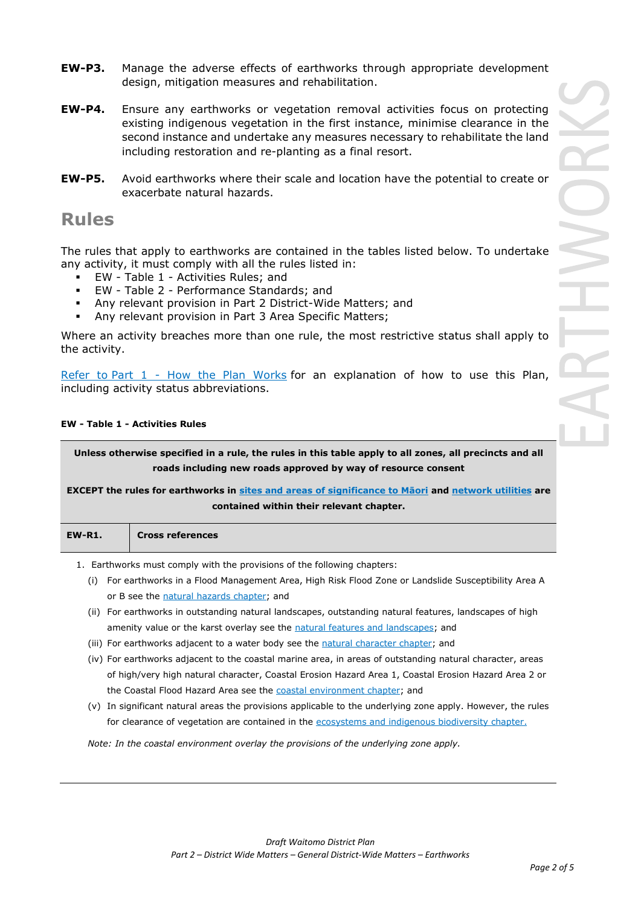- **EW-P3.** Manage the adverse effects of earthworks through appropriate development design, mitigation measures and rehabilitation.
- **EW-P4.** Ensure any earthworks or vegetation removal activities focus on protecting existing indigenous vegetation in the first instance, minimise clearance in the second instance and undertake any measures necessary to rehabilitate the land including restoration and re-planting as a final resort.
- **EW-P5.** Avoid earthworks where their scale and location have the potential to create or exacerbate natural hazards.

### **Rules**

The rules that apply to earthworks are contained in the tables listed below. To undertake any activity, it must comply with all the rules listed in:

- EW Table 1 Activities Rules; and
- EW Table 2 Performance Standards; and
- Any relevant provision in Part 2 District-Wide Matters; and
- Any relevant provision in Part 3 Area Specific Matters;

Where an activity breaches more than one rule, the most restrictive status shall apply to the activity.

Refer to [Part 1](javascript:void(0)) - How the Plan Works for an explanation of how to use this Plan, including activity status abbreviations.

#### **EW - Table 1 - Activities Rules**

**Unless otherwise specified in a rule, the rules in this table apply to all zones, all precincts and all roads including new roads approved by way of resource consent** 

**EXCEPT the rules for earthworks in sites and areas of significance to Māori and network utilities are contained within their relevant chapter.**

**Cross references** 

1. Earthworks must comply with the provisions of the following chapters:

- (i) For earthworks in a Flood Management Area, High Risk Flood Zone or Landslide Susceptibility Area A or B see the natural hazards chapter; and
- (ii) For earthworks in outstanding natural landscapes, outstanding natural features, landscapes of high amenity value or the karst overlay see the natural features and landscapes; and
- (iii) For earthworks adjacent to a water body see the natural character chapter; and
- (iv) For earthworks adjacent to the coastal marine area, in areas of outstanding natural character, areas of high/very high natural character, Coastal Erosion Hazard Area 1, Coastal Erosion Hazard Area 2 or the Coastal Flood Hazard Area see the coastal environment chapter; and
- (v) In significant natural areas the provisions applicable to the underlying zone apply. However, the rules for clearance of vegetation are contained in the ecosystems and indigenous biodiversity chapter.

*Note: In the coastal environment overlay the provisions of the underlying zone apply.*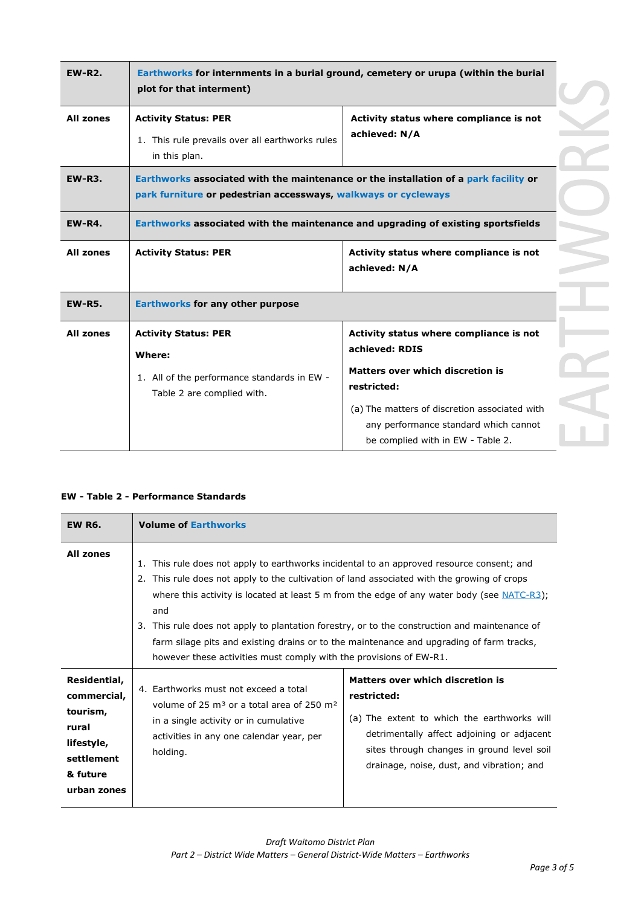| <b>EW-R2.</b>    | Earthworks for internments in a burial ground, cemetery or urupa (within the burial<br>plot for that interment)                                        |                                                                                                                                                                                                               |  |
|------------------|--------------------------------------------------------------------------------------------------------------------------------------------------------|---------------------------------------------------------------------------------------------------------------------------------------------------------------------------------------------------------------|--|
| <b>All zones</b> | <b>Activity Status: PER</b><br>1. This rule prevails over all earthworks rules<br>in this plan.                                                        | Activity status where compliance is not<br>achieved: N/A                                                                                                                                                      |  |
| <b>EW-R3.</b>    | Earthworks associated with the maintenance or the installation of a park facility or<br>park furniture or pedestrian accessways, walkways or cycleways |                                                                                                                                                                                                               |  |
| <b>EW-R4.</b>    | Earthworks associated with the maintenance and upgrading of existing sportsfields                                                                      |                                                                                                                                                                                                               |  |
| <b>All zones</b> | <b>Activity Status: PER</b>                                                                                                                            | Activity status where compliance is not<br>achieved: N/A                                                                                                                                                      |  |
| <b>EW-R5.</b>    | <b>Earthworks for any other purpose</b>                                                                                                                |                                                                                                                                                                                                               |  |
| <b>All zones</b> | <b>Activity Status: PER</b><br>Where:<br>1. All of the performance standards in EW -<br>Table 2 are complied with.                                     | Activity status where compliance is not<br>achieved: RDIS<br><b>Matters over which discretion is</b><br>restricted:<br>(a) The matters of discretion associated with<br>any performance standard which cannot |  |
|                  |                                                                                                                                                        | be complied with in EW - Table 2.                                                                                                                                                                             |  |

|  | <b>EW - Table 2 - Performance Standards</b> |  |
|--|---------------------------------------------|--|
|  |                                             |  |

| <b>EW R6.</b>                                                                                           | <b>Volume of Earthworks</b>                                                                                                                                                                                                                                                                                                                                                                                                                                                                                                                                         |                                                                                                                                                                                                                                         |  |
|---------------------------------------------------------------------------------------------------------|---------------------------------------------------------------------------------------------------------------------------------------------------------------------------------------------------------------------------------------------------------------------------------------------------------------------------------------------------------------------------------------------------------------------------------------------------------------------------------------------------------------------------------------------------------------------|-----------------------------------------------------------------------------------------------------------------------------------------------------------------------------------------------------------------------------------------|--|
| <b>All zones</b>                                                                                        | 1. This rule does not apply to earthworks incidental to an approved resource consent; and<br>2. This rule does not apply to the cultivation of land associated with the growing of crops<br>where this activity is located at least 5 m from the edge of any water body (see $NATC-R3$ );<br>and<br>3. This rule does not apply to plantation forestry, or to the construction and maintenance of<br>farm silage pits and existing drains or to the maintenance and upgrading of farm tracks,<br>however these activities must comply with the provisions of EW-R1. |                                                                                                                                                                                                                                         |  |
| Residential,<br>commercial,<br>tourism,<br>rural<br>lifestyle,<br>settlement<br>& future<br>urban zones | 4. Earthworks must not exceed a total<br>volume of 25 m <sup>3</sup> or a total area of 250 m <sup>2</sup><br>in a single activity or in cumulative<br>activities in any one calendar year, per<br>holding.                                                                                                                                                                                                                                                                                                                                                         | Matters over which discretion is<br>restricted:<br>(a) The extent to which the earthworks will<br>detrimentally affect adjoining or adjacent<br>sites through changes in ground level soil<br>drainage, noise, dust, and vibration; and |  |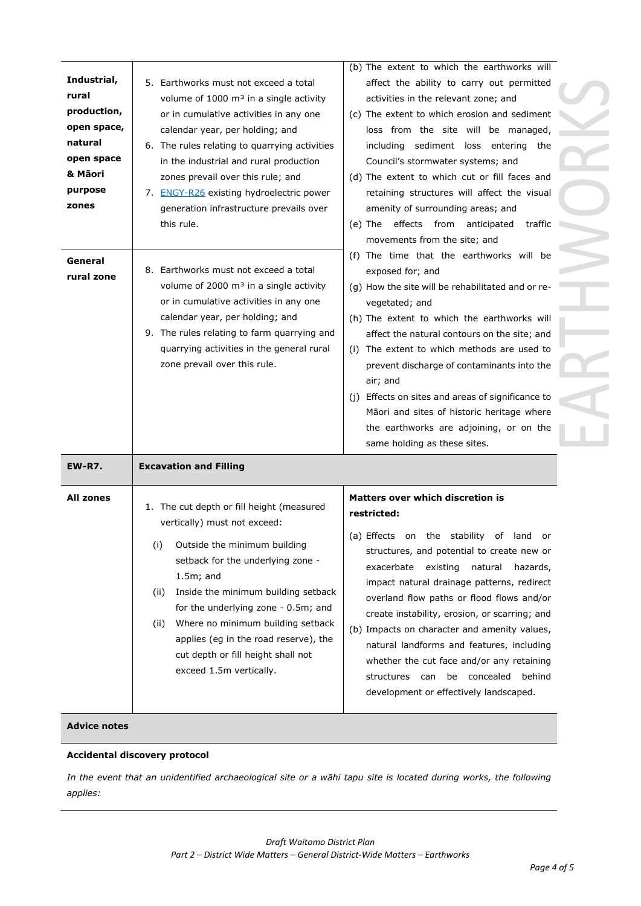| Industrial,<br>rural<br>production,<br>open space,<br>natural<br>open space<br>& Māori<br>purpose<br>zones | 5. Earthworks must not exceed a total<br>volume of 1000 m <sup>3</sup> in a single activity<br>or in cumulative activities in any one<br>calendar year, per holding; and<br>6. The rules relating to quarrying activities<br>in the industrial and rural production<br>zones prevail over this rule; and<br>7. ENGY-R26 existing hydroelectric power<br>generation infrastructure prevails over                    | (b) The extent to which the earthworks will<br>affect the ability to carry out permitted<br>activities in the relevant zone; and<br>(c) The extent to which erosion and sediment<br>loss from the site will be managed,<br>including sediment loss entering<br>the<br>Council's stormwater systems; and<br>(d) The extent to which cut or fill faces and<br>retaining structures will affect the visual<br>amenity of surrounding areas; and                                                                                                                                          |  |  |
|------------------------------------------------------------------------------------------------------------|--------------------------------------------------------------------------------------------------------------------------------------------------------------------------------------------------------------------------------------------------------------------------------------------------------------------------------------------------------------------------------------------------------------------|---------------------------------------------------------------------------------------------------------------------------------------------------------------------------------------------------------------------------------------------------------------------------------------------------------------------------------------------------------------------------------------------------------------------------------------------------------------------------------------------------------------------------------------------------------------------------------------|--|--|
|                                                                                                            | this rule.                                                                                                                                                                                                                                                                                                                                                                                                         | effects from anticipated<br>(e) The<br>traffic<br>movements from the site; and                                                                                                                                                                                                                                                                                                                                                                                                                                                                                                        |  |  |
| General<br>rural zone                                                                                      | 8. Earthworks must not exceed a total<br>volume of 2000 m <sup>3</sup> in a single activity<br>or in cumulative activities in any one<br>calendar year, per holding; and<br>9. The rules relating to farm quarrying and<br>quarrying activities in the general rural<br>zone prevail over this rule.                                                                                                               | (f) The time that the earthworks will be<br>exposed for; and<br>(g) How the site will be rehabilitated and or re-<br>vegetated; and<br>(h) The extent to which the earthworks will<br>affect the natural contours on the site; and<br>(i) The extent to which methods are used to<br>prevent discharge of contaminants into the<br>air; and<br>(j) Effects on sites and areas of significance to<br>Māori and sites of historic heritage where<br>the earthworks are adjoining, or on the<br>same holding as these sites.                                                             |  |  |
| <b>EW-R7.</b>                                                                                              | <b>Excavation and Filling</b>                                                                                                                                                                                                                                                                                                                                                                                      |                                                                                                                                                                                                                                                                                                                                                                                                                                                                                                                                                                                       |  |  |
| All zones                                                                                                  | 1. The cut depth or fill height (measured<br>vertically) must not exceed:<br>Outside the minimum building<br>(i)<br>setback for the underlying zone -<br>$1.5m$ ; and<br>Inside the minimum building setback<br>(ii)<br>for the underlying zone - 0.5m; and<br>Where no minimum building setback<br>(ii)<br>applies (eg in the road reserve), the<br>cut depth or fill height shall not<br>exceed 1.5m vertically. | <b>Matters over which discretion is</b><br>restricted:<br>(a) Effects on the stability<br>of land<br>or<br>structures, and potential to create new or<br>exacerbate<br>existing<br>natural<br>hazards,<br>impact natural drainage patterns, redirect<br>overland flow paths or flood flows and/or<br>create instability, erosion, or scarring; and<br>(b) Impacts on character and amenity values,<br>natural landforms and features, including<br>whether the cut face and/or any retaining<br>be concealed<br>structures<br>behind<br>can<br>development or effectively landscaped. |  |  |

#### **Accidental discovery protocol**

*In the event that an unidentified archaeological site or a wāhi tapu site is located during works, the following applies:*